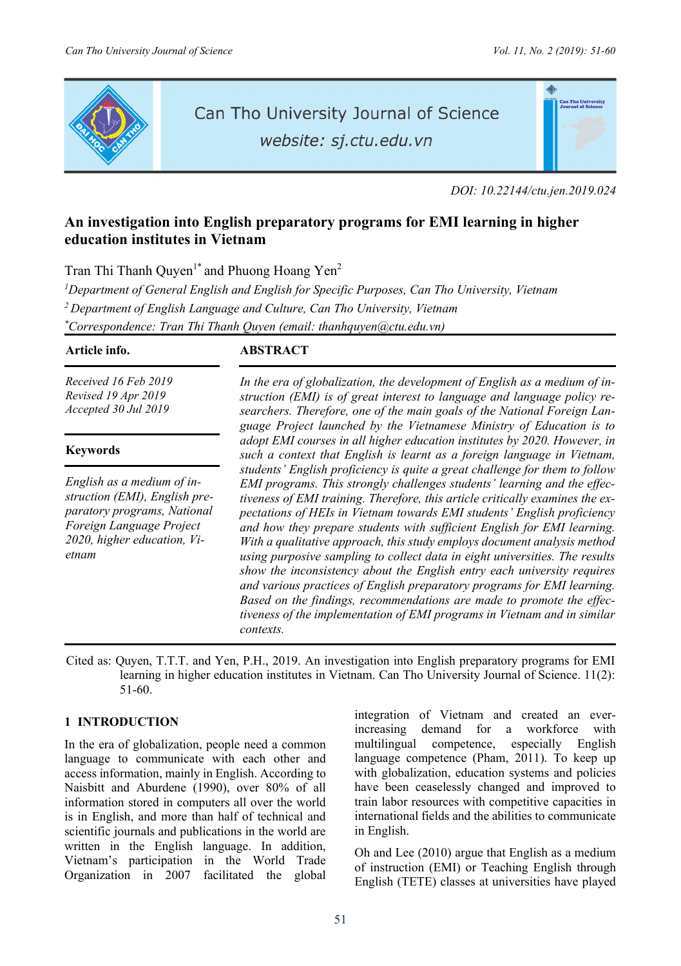

# Can Tho University Journal of Science

website: sj.ctu.edu.vn

*DOI: 10.22144/ctu.jen.2019.024* 

## **An investigation into English preparatory programs for EMI learning in higher education institutes in Vietnam**

Tran Thi Thanh Quyen<sup>1\*</sup> and Phuong Hoang Yen<sup>2</sup>

<sup>1</sup>Department of General English and English for Specific Purposes, Can Tho University, Vietnam *2 Department of English Language and Culture, Can Tho University, Vietnam \* Correspondence: Tran Thi Thanh Quyen (email: thanhquyen@ctu.edu.vn)* 

*Received 16 Feb 2019 Revised 19 Apr 2019 Accepted 30 Jul 2019*

#### **Keywords**

*English as a medium of instruction (EMI), English preparatory programs, National Foreign Language Project 2020, higher education, Vietnam* 

#### **Article info. ABSTRACT**

*In the era of globalization, the development of English as a medium of instruction (EMI) is of great interest to language and language policy researchers. Therefore, one of the main goals of the National Foreign Language Project launched by the Vietnamese Ministry of Education is to adopt EMI courses in all higher education institutes by 2020. However, in such a context that English is learnt as a foreign language in Vietnam, students' English proficiency is quite a great challenge for them to follow EMI programs. This strongly challenges students' learning and the effectiveness of EMI training. Therefore, this article critically examines the expectations of HEIs in Vietnam towards EMI students' English proficiency and how they prepare students with sufficient English for EMI learning. With a qualitative approach, this study employs document analysis method using purposive sampling to collect data in eight universities. The results show the inconsistency about the English entry each university requires and various practices of English preparatory programs for EMI learning. Based on the findings, recommendations are made to promote the effectiveness of the implementation of EMI programs in Vietnam and in similar contexts.* 

Cited as: Quyen, T.T.T. and Yen, P.H., 2019. An investigation into English preparatory programs for EMI learning in higher education institutes in Vietnam. Can Tho University Journal of Science. 11(2): 51-60.

#### **1 INTRODUCTION**

In the era of globalization, people need a common language to communicate with each other and access information, mainly in English. According to Naisbitt and Aburdene (1990), over 80% of all information stored in computers all over the world is in English, and more than half of technical and scientific journals and publications in the world are written in the English language. In addition, Vietnam's participation in the World Trade Organization in 2007 facilitated the global

integration of Vietnam and created an everincreasing demand for a workforce with multilingual competence, especially English language competence (Pham, 2011). To keep up with globalization, education systems and policies have been ceaselessly changed and improved to train labor resources with competitive capacities in international fields and the abilities to communicate in English.

Oh and Lee (2010) argue that English as a medium of instruction (EMI) or Teaching English through English (TETE) classes at universities have played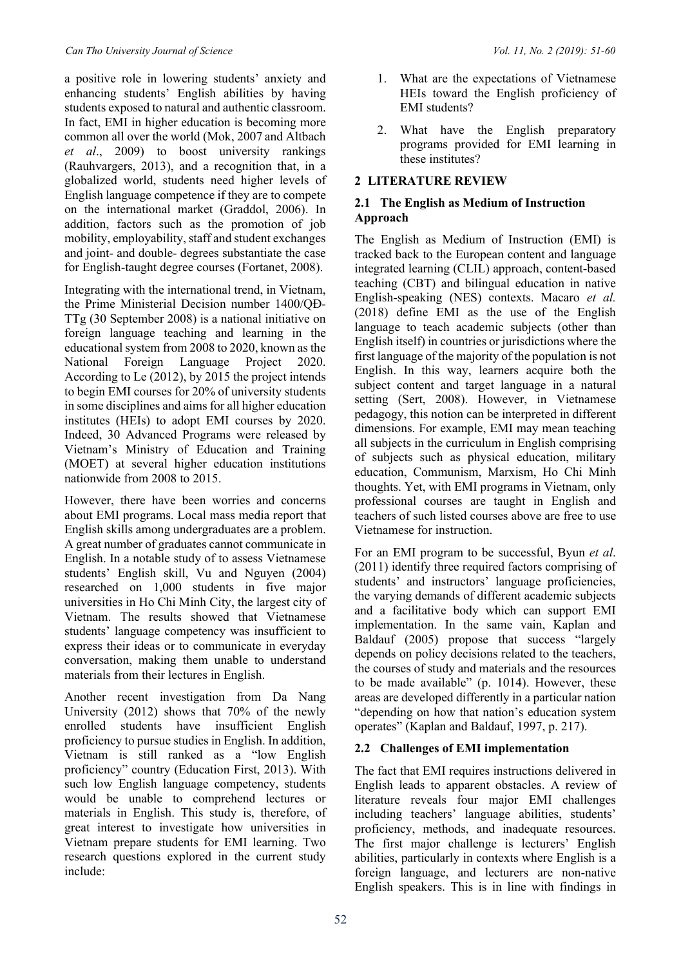a positive role in lowering students' anxiety and enhancing students' English abilities by having students exposed to natural and authentic classroom. In fact, EMI in higher education is becoming more common all over the world (Mok, 2007 and Altbach *et al*., 2009) to boost university rankings (Rauhvargers, 2013), and a recognition that, in a globalized world, students need higher levels of English language competence if they are to compete on the international market (Graddol, 2006). In addition, factors such as the promotion of job mobility, employability, staff and student exchanges and joint- and double- degrees substantiate the case for English-taught degree courses (Fortanet, 2008).

Integrating with the international trend, in Vietnam, the Prime Ministerial Decision number 1400/QĐ-TTg (30 September 2008) is a national initiative on foreign language teaching and learning in the educational system from 2008 to 2020, known as the National Foreign Language Project 2020. According to Le (2012), by 2015 the project intends to begin EMI courses for 20% of university students in some disciplines and aims for all higher education institutes (HEIs) to adopt EMI courses by 2020. Indeed, 30 Advanced Programs were released by Vietnam's Ministry of Education and Training (MOET) at several higher education institutions nationwide from 2008 to 2015.

However, there have been worries and concerns about EMI programs. Local mass media report that English skills among undergraduates are a problem. A great number of graduates cannot communicate in English. In a notable study of to assess Vietnamese students' English skill, Vu and Nguyen (2004) researched on 1,000 students in five major universities in Ho Chi Minh City, the largest city of Vietnam. The results showed that Vietnamese students' language competency was insufficient to express their ideas or to communicate in everyday conversation, making them unable to understand materials from their lectures in English.

Another recent investigation from Da Nang University (2012) shows that 70% of the newly enrolled students have insufficient English proficiency to pursue studies in English. In addition, Vietnam is still ranked as a "low English proficiency" country (Education First, 2013). With such low English language competency, students would be unable to comprehend lectures or materials in English. This study is, therefore, of great interest to investigate how universities in Vietnam prepare students for EMI learning. Two research questions explored in the current study include:

- 1. What are the expectations of Vietnamese HEIs toward the English proficiency of EMI students?
- 2. What have the English preparatory programs provided for EMI learning in these institutes?

#### **2 LITERATURE REVIEW**

#### **2.1 The English as Medium of Instruction Approach**

The English as Medium of Instruction (EMI) is tracked back to the European content and language integrated learning (CLIL) approach, content-based teaching (CBT) and bilingual education in native English-speaking (NES) contexts. Macaro *et al.* (2018) define EMI as the use of the English language to teach academic subjects (other than English itself) in countries or jurisdictions where the first language of the majority of the population is not English. In this way, learners acquire both the subject content and target language in a natural setting (Sert, 2008). However, in Vietnamese pedagogy, this notion can be interpreted in different dimensions. For example, EMI may mean teaching all subjects in the curriculum in English comprising of subjects such as physical education, military education, Communism, Marxism, Ho Chi Minh thoughts. Yet, with EMI programs in Vietnam, only professional courses are taught in English and teachers of such listed courses above are free to use Vietnamese for instruction.

For an EMI program to be successful, Byun *et al*. (2011) identify three required factors comprising of students' and instructors' language proficiencies, the varying demands of different academic subjects and a facilitative body which can support EMI implementation. In the same vain, Kaplan and Baldauf (2005) propose that success "largely depends on policy decisions related to the teachers, the courses of study and materials and the resources to be made available" (p. 1014). However, these areas are developed differently in a particular nation "depending on how that nation's education system operates" (Kaplan and Baldauf, 1997, p. 217).

### **2.2 Challenges of EMI implementation**

The fact that EMI requires instructions delivered in English leads to apparent obstacles. A review of literature reveals four major EMI challenges including teachers' language abilities, students' proficiency, methods, and inadequate resources. The first major challenge is lecturers' English abilities, particularly in contexts where English is a foreign language, and lecturers are non-native English speakers. This is in line with findings in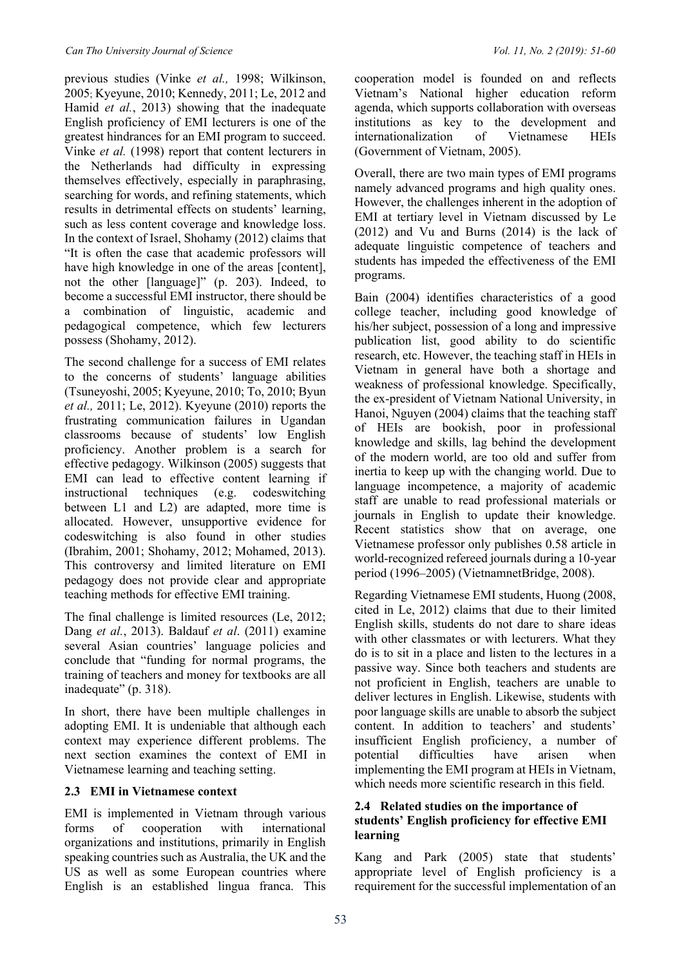previous studies (Vinke *et al.,* 1998; Wilkinson, 2005; Kyeyune, 2010; Kennedy, 2011; Le, 2012 and Hamid *et al.*, 2013) showing that the inadequate English proficiency of EMI lecturers is one of the greatest hindrances for an EMI program to succeed. Vinke *et al.* (1998) report that content lecturers in the Netherlands had difficulty in expressing themselves effectively, especially in paraphrasing, searching for words, and refining statements, which results in detrimental effects on students' learning, such as less content coverage and knowledge loss. In the context of Israel, Shohamy (2012) claims that "It is often the case that academic professors will have high knowledge in one of the areas [content], not the other [language]" (p. 203). Indeed, to become a successful EMI instructor, there should be a combination of linguistic, academic and pedagogical competence, which few lecturers possess (Shohamy, 2012).

The second challenge for a success of EMI relates to the concerns of students' language abilities (Tsuneyoshi, 2005; Kyeyune, 2010; To, 2010; Byun *et al.,* 2011; Le, 2012). Kyeyune (2010) reports the frustrating communication failures in Ugandan classrooms because of students' low English proficiency. Another problem is a search for effective pedagogy. Wilkinson (2005) suggests that EMI can lead to effective content learning if instructional techniques (e.g. codeswitching between L1 and L2) are adapted, more time is allocated. However, unsupportive evidence for codeswitching is also found in other studies (Ibrahim, 2001; Shohamy, 2012; Mohamed, 2013). This controversy and limited literature on EMI pedagogy does not provide clear and appropriate teaching methods for effective EMI training.

The final challenge is limited resources (Le, 2012; Dang *et al.*, 2013). Baldauf *et al*. (2011) examine several Asian countries' language policies and conclude that "funding for normal programs, the training of teachers and money for textbooks are all inadequate" (p. 318).

In short, there have been multiple challenges in adopting EMI. It is undeniable that although each context may experience different problems. The next section examines the context of EMI in Vietnamese learning and teaching setting.

#### **2.3 EMI in Vietnamese context**

EMI is implemented in Vietnam through various forms of cooperation with international organizations and institutions, primarily in English speaking countries such as Australia, the UK and the US as well as some European countries where English is an established lingua franca. This

cooperation model is founded on and reflects Vietnam's National higher education reform agenda, which supports collaboration with overseas institutions as key to the development and internationalization of Vietnamese HEIs (Government of Vietnam, 2005).

Overall, there are two main types of EMI programs namely advanced programs and high quality ones. However, the challenges inherent in the adoption of EMI at tertiary level in Vietnam discussed by Le (2012) and Vu and Burns (2014) is the lack of adequate linguistic competence of teachers and students has impeded the effectiveness of the EMI programs.

Bain (2004) identifies characteristics of a good college teacher, including good knowledge of his/her subject, possession of a long and impressive publication list, good ability to do scientific research, etc. However, the teaching staff in HEIs in Vietnam in general have both a shortage and weakness of professional knowledge. Specifically, the ex-president of Vietnam National University, in Hanoi, Nguyen (2004) claims that the teaching staff of HEIs are bookish, poor in professional knowledge and skills, lag behind the development of the modern world, are too old and suffer from inertia to keep up with the changing world. Due to language incompetence, a majority of academic staff are unable to read professional materials or journals in English to update their knowledge. Recent statistics show that on average, one Vietnamese professor only publishes 0.58 article in world-recognized refereed journals during a 10-year period (1996–2005) (VietnamnetBridge, 2008).

Regarding Vietnamese EMI students, Huong (2008, cited in Le, 2012) claims that due to their limited English skills, students do not dare to share ideas with other classmates or with lecturers. What they do is to sit in a place and listen to the lectures in a passive way. Since both teachers and students are not proficient in English, teachers are unable to deliver lectures in English. Likewise, students with poor language skills are unable to absorb the subject content. In addition to teachers' and students' insufficient English proficiency, a number of potential difficulties have arisen when implementing the EMI program at HEIs in Vietnam, which needs more scientific research in this field.

#### **2.4 Related studies on the importance of students' English proficiency for effective EMI learning**

Kang and Park (2005) state that students' appropriate level of English proficiency is a requirement for the successful implementation of an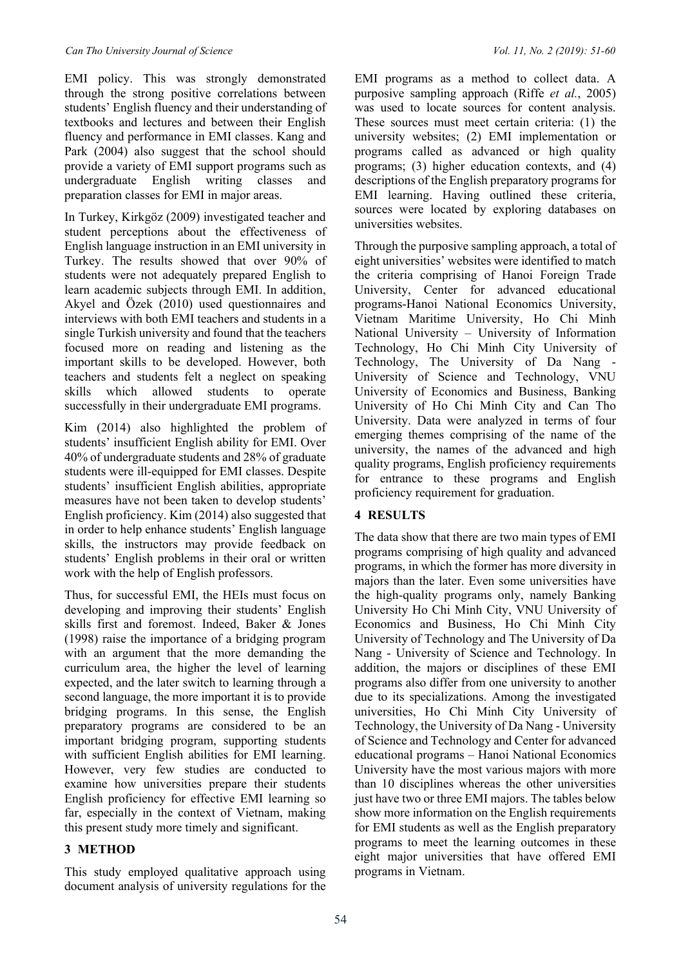EMI policy. This was strongly demonstrated through the strong positive correlations between students' English fluency and their understanding of textbooks and lectures and between their English fluency and performance in EMI classes. Kang and Park (2004) also suggest that the school should provide a variety of EMI support programs such as undergraduate English writing classes and preparation classes for EMI in major areas.

In Turkey, Kirkgöz (2009) investigated teacher and student perceptions about the effectiveness of English language instruction in an EMI university in Turkey. The results showed that over 90% of students were not adequately prepared English to learn academic subjects through EMI. In addition, Akyel and Özek (2010) used questionnaires and interviews with both EMI teachers and students in a single Turkish university and found that the teachers focused more on reading and listening as the important skills to be developed. However, both teachers and students felt a neglect on speaking skills which allowed students to operate successfully in their undergraduate EMI programs.

Kim (2014) also highlighted the problem of students' insufficient English ability for EMI. Over 40% of undergraduate students and 28% of graduate students were ill-equipped for EMI classes. Despite students' insufficient English abilities, appropriate measures have not been taken to develop students' English proficiency. Kim (2014) also suggested that in order to help enhance students' English language skills, the instructors may provide feedback on students' English problems in their oral or written work with the help of English professors.

Thus, for successful EMI, the HEIs must focus on developing and improving their students' English skills first and foremost. Indeed, Baker & Jones (1998) raise the importance of a bridging program with an argument that the more demanding the curriculum area, the higher the level of learning expected, and the later switch to learning through a second language, the more important it is to provide bridging programs. In this sense, the English preparatory programs are considered to be an important bridging program, supporting students with sufficient English abilities for EMI learning. However, very few studies are conducted to examine how universities prepare their students English proficiency for effective EMI learning so far, especially in the context of Vietnam, making this present study more timely and significant.

### **3 METHOD**

This study employed qualitative approach using document analysis of university regulations for the

EMI programs as a method to collect data. A purposive sampling approach (Riffe *et al.*, 2005) was used to locate sources for content analysis. These sources must meet certain criteria: (1) the university websites; (2) EMI implementation or programs called as advanced or high quality programs; (3) higher education contexts, and (4) descriptions of the English preparatory programs for EMI learning. Having outlined these criteria, sources were located by exploring databases on universities websites.

Through the purposive sampling approach, a total of eight universities' websites were identified to match the criteria comprising of Hanoi Foreign Trade University, Center for advanced educational programs-Hanoi National Economics University, Vietnam Maritime University, Ho Chi Minh National University – University of Information Technology, Ho Chi Minh City University of Technology, The University of Da Nang - University of Science and Technology, VNU University of Economics and Business, Banking University of Ho Chi Minh City and Can Tho University. Data were analyzed in terms of four emerging themes comprising of the name of the university, the names of the advanced and high quality programs, English proficiency requirements for entrance to these programs and English proficiency requirement for graduation.

### **4 RESULTS**

The data show that there are two main types of EMI programs comprising of high quality and advanced programs, in which the former has more diversity in majors than the later. Even some universities have the high-quality programs only, namely Banking University Ho Chi Minh City, VNU University of Economics and Business, Ho Chi Minh City University of Technology and The University of Da Nang - University of Science and Technology. In addition, the majors or disciplines of these EMI programs also differ from one university to another due to its specializations. Among the investigated universities, Ho Chi Minh City University of Technology, the University of Da Nang - University of Science and Technology and Center for advanced educational programs – Hanoi National Economics University have the most various majors with more than 10 disciplines whereas the other universities just have two or three EMI majors. The tables below show more information on the English requirements for EMI students as well as the English preparatory programs to meet the learning outcomes in these eight major universities that have offered EMI programs in Vietnam.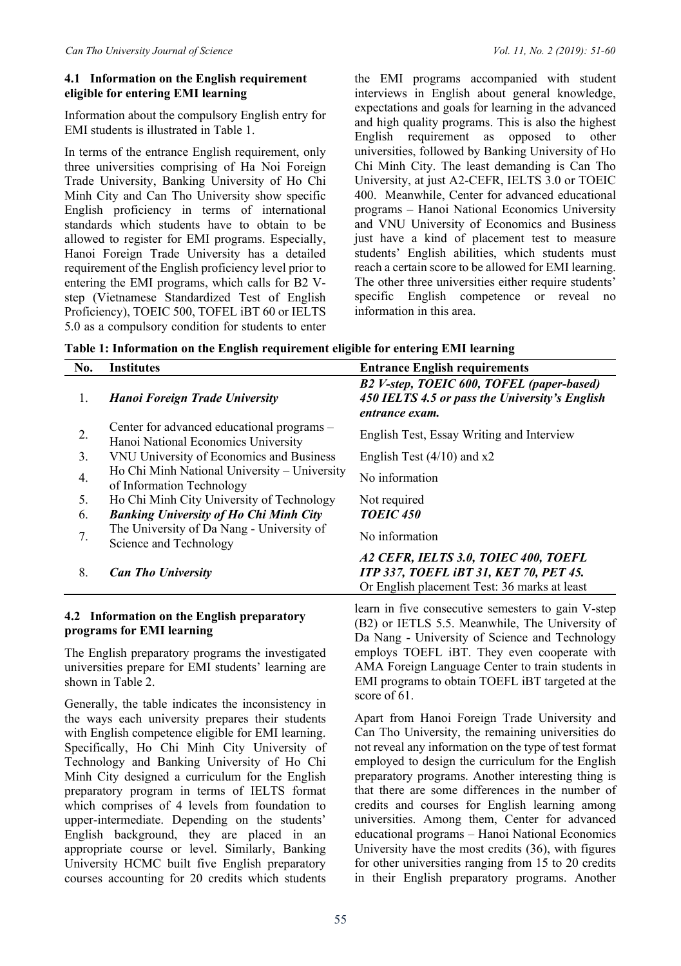#### **4.1 Information on the English requirement eligible for entering EMI learning**

Information about the compulsory English entry for EMI students is illustrated in Table 1.

In terms of the entrance English requirement, only three universities comprising of Ha Noi Foreign Trade University, Banking University of Ho Chi Minh City and Can Tho University show specific English proficiency in terms of international standards which students have to obtain to be allowed to register for EMI programs. Especially, Hanoi Foreign Trade University has a detailed requirement of the English proficiency level prior to entering the EMI programs, which calls for B2 Vstep (Vietnamese Standardized Test of English Proficiency), TOEIC 500, TOFEL iBT 60 or IELTS 5.0 as a compulsory condition for students to enter

the EMI programs accompanied with student interviews in English about general knowledge, expectations and goals for learning in the advanced and high quality programs. This is also the highest English requirement as opposed to other universities, followed by Banking University of Ho Chi Minh City. The least demanding is Can Tho University, at just A2-CEFR, IELTS 3.0 or TOEIC 400. Meanwhile, Center for advanced educational programs – Hanoi National Economics University and VNU University of Economics and Business just have a kind of placement test to measure students' English abilities, which students must reach a certain score to be allowed for EMI learning. The other three universities either require students' specific English competence or reveal no information in this area.

**Table 1: Information on the English requirement eligible for entering EMI learning** 

| No. | <b>Institutes</b>                                                                 | <b>Entrance English requirements</b>                                                                                                  |
|-----|-----------------------------------------------------------------------------------|---------------------------------------------------------------------------------------------------------------------------------------|
| 1.  | Hanoi Foreign Trade University                                                    | B2 V-step, TOEIC 600, TOFEL (paper-based)<br>450 IELTS 4.5 or pass the University's English<br>entrance exam.                         |
| 2.  | Center for advanced educational programs -<br>Hanoi National Economics University | English Test, Essay Writing and Interview                                                                                             |
| 3.  | VNU University of Economics and Business                                          | English Test $(4/10)$ and x2                                                                                                          |
| 4.  | Ho Chi Minh National University – University<br>of Information Technology         | No information                                                                                                                        |
| 5.  | Ho Chi Minh City University of Technology                                         | Not required                                                                                                                          |
| 6.  | <b>Banking University of Ho Chi Minh City</b>                                     | <b>TOEIC 450</b>                                                                                                                      |
| 7.  | The University of Da Nang - University of<br>Science and Technology               | No information                                                                                                                        |
| 8.  | <b>Can Tho University</b>                                                         | A2 CEFR, IELTS 3.0, TOIEC 400, TOEFL<br><b>ITP 337, TOEFL iBT 31, KET 70, PET 45.</b><br>Or English placement Test: 36 marks at least |
|     |                                                                                   | learn in five consecutive semesters to gain V-ster                                                                                    |

#### **4.2 Information on the English preparatory programs for EMI learning**

The English preparatory programs the investigated universities prepare for EMI students' learning are shown in Table 2.

Generally, the table indicates the inconsistency in the ways each university prepares their students with English competence eligible for EMI learning. Specifically, Ho Chi Minh City University of Technology and Banking University of Ho Chi Minh City designed a curriculum for the English preparatory program in terms of IELTS format which comprises of 4 levels from foundation to upper-intermediate. Depending on the students' English background, they are placed in an appropriate course or level. Similarly, Banking University HCMC built five English preparatory courses accounting for 20 credits which students

learn in five consecutive semesters to gain V-step (B2) or IETLS 5.5. Meanwhile, The University of Da Nang - University of Science and Technology employs TOEFL iBT. They even cooperate with AMA Foreign Language Center to train students in EMI programs to obtain TOEFL iBT targeted at the score of 61.

Apart from Hanoi Foreign Trade University and Can Tho University, the remaining universities do not reveal any information on the type of test format employed to design the curriculum for the English preparatory programs. Another interesting thing is that there are some differences in the number of credits and courses for English learning among universities. Among them, Center for advanced educational programs – Hanoi National Economics University have the most credits (36), with figures for other universities ranging from 15 to 20 credits in their English preparatory programs. Another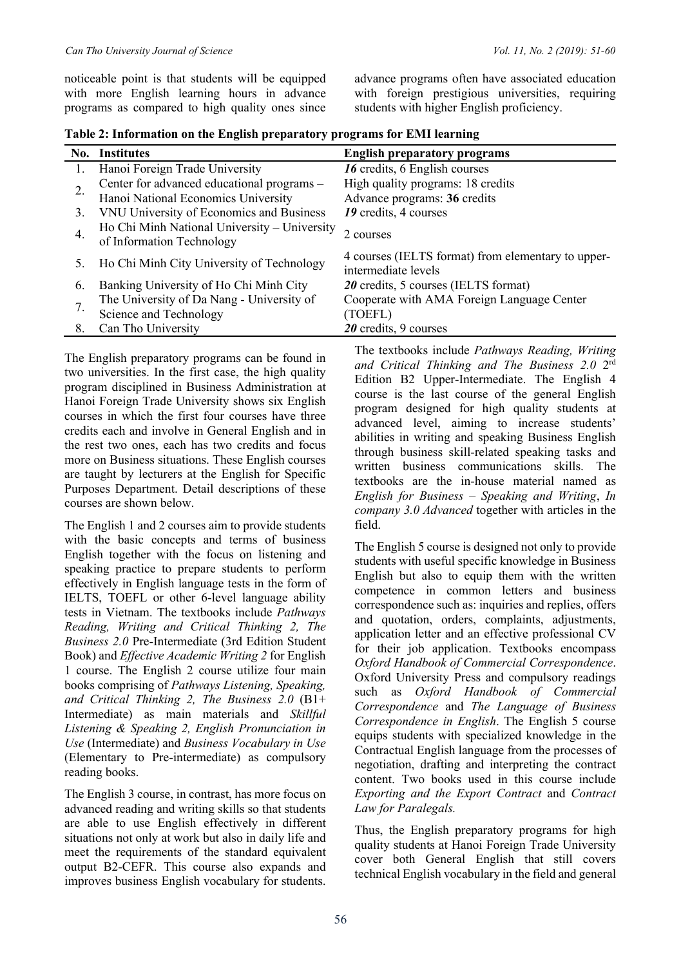noticeable point is that students will be equipped with more English learning hours in advance programs as compared to high quality ones since

advance programs often have associated education with foreign prestigious universities, requiring students with higher English proficiency.

| No. | <b>Institutes</b>                                                         | <b>English preparatory programs</b>                                       |
|-----|---------------------------------------------------------------------------|---------------------------------------------------------------------------|
|     | Hanoi Foreign Trade University                                            | 16 credits, 6 English courses                                             |
|     | Center for advanced educational programs -                                | High quality programs: 18 credits                                         |
|     | Hanoi National Economics University                                       | Advance programs: 36 credits                                              |
| 3.  | VNU University of Economics and Business                                  | 19 credits, 4 courses                                                     |
| 4.  | Ho Chi Minh National University - University<br>of Information Technology | 2 courses                                                                 |
| 5.  | Ho Chi Minh City University of Technology                                 | 4 courses (IELTS format) from elementary to upper-<br>intermediate levels |
| 6.  | Banking University of Ho Chi Minh City                                    | 20 credits, 5 courses (IELTS format)                                      |
|     | The University of Da Nang - University of                                 | Cooperate with AMA Foreign Language Center                                |
|     | Science and Technology                                                    | (TOEFL)                                                                   |
| 8.  | Can Tho University                                                        | 20 credits, $9$ courses                                                   |

| Table 2: Information on the English preparatory programs for EMI learning |  |  |
|---------------------------------------------------------------------------|--|--|
|                                                                           |  |  |

The English preparatory programs can be found in two universities. In the first case, the high quality program disciplined in Business Administration at Hanoi Foreign Trade University shows six English courses in which the first four courses have three credits each and involve in General English and in the rest two ones, each has two credits and focus more on Business situations. These English courses are taught by lecturers at the English for Specific Purposes Department. Detail descriptions of these courses are shown below.

The English 1 and 2 courses aim to provide students with the basic concepts and terms of business English together with the focus on listening and speaking practice to prepare students to perform effectively in English language tests in the form of IELTS, TOEFL or other 6-level language ability tests in Vietnam. The textbooks include *Pathways Reading, Writing and Critical Thinking 2, The Business 2.0* Pre-Intermediate (3rd Edition Student Book) and *Effective Academic Writing 2* for English 1 course. The English 2 course utilize four main books comprising of *Pathways Listening, Speaking, and Critical Thinking 2, The Business 2.0* (B1+ Intermediate) as main materials and *Skillful Listening & Speaking 2, English Pronunciation in Use* (Intermediate) and *Business Vocabulary in Use* (Elementary to Pre-intermediate) as compulsory reading books.

The English 3 course, in contrast, has more focus on advanced reading and writing skills so that students are able to use English effectively in different situations not only at work but also in daily life and meet the requirements of the standard equivalent output B2-CEFR. This course also expands and improves business English vocabulary for students.

The textbooks include *Pathways Reading, Writing and Critical Thinking and The Business 2.0* 2rd Edition B2 Upper-Intermediate. The English 4 course is the last course of the general English program designed for high quality students at advanced level, aiming to increase students' abilities in writing and speaking Business English through business skill-related speaking tasks and written business communications skills. The textbooks are the in-house material named as *English for Business – Speaking and Writing*, *In company 3.0 Advanced* together with articles in the field.

The English 5 course is designed not only to provide students with useful specific knowledge in Business English but also to equip them with the written competence in common letters and business correspondence such as: inquiries and replies, offers and quotation, orders, complaints, adjustments, application letter and an effective professional CV for their job application. Textbooks encompass *Oxford Handbook of Commercial Correspondence*. Oxford University Press and compulsory readings such as *Oxford Handbook of Commercial Correspondence* and *The Language of Business Correspondence in English*. The English 5 course equips students with specialized knowledge in the Contractual English language from the processes of negotiation, drafting and interpreting the contract content. Two books used in this course include *Exporting and the Export Contract* and *Contract Law for Paralegals.* 

Thus, the English preparatory programs for high quality students at Hanoi Foreign Trade University cover both General English that still covers technical English vocabulary in the field and general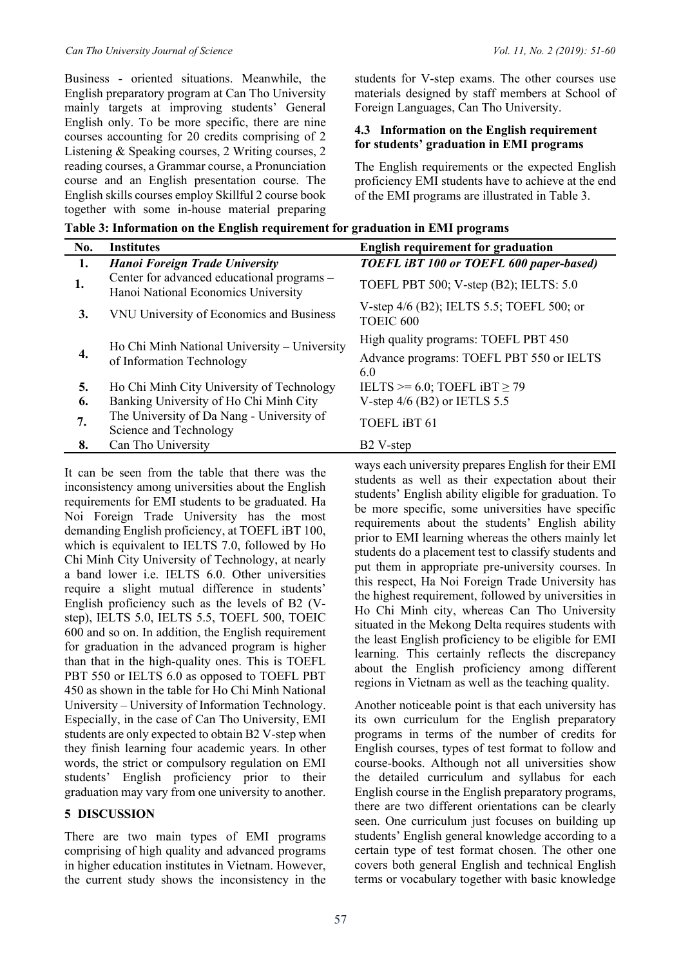Business - oriented situations. Meanwhile, the English preparatory program at Can Tho University mainly targets at improving students' General English only. To be more specific, there are nine courses accounting for 20 credits comprising of 2 Listening & Speaking courses, 2 Writing courses, 2 reading courses, a Grammar course, a Pronunciation course and an English presentation course. The English skills courses employ Skillful 2 course book together with some in-house material preparing students for V-step exams. The other courses use materials designed by staff members at School of Foreign Languages, Can Tho University.

#### **4.3 Information on the English requirement for students' graduation in EMI programs**

The English requirements or the expected English proficiency EMI students have to achieve at the end of the EMI programs are illustrated in Table 3.

**Table 3: Information on the English requirement for graduation in EMI programs** 

| No. | <b>Institutes</b>                                                                 | <b>English requirement for graduation</b>                                               |
|-----|-----------------------------------------------------------------------------------|-----------------------------------------------------------------------------------------|
| 1.  | <b>Hanoi Foreign Trade University</b>                                             | TOEFL iBT 100 or TOEFL 600 paper-based)                                                 |
| 1.  | Center for advanced educational programs -<br>Hanoi National Economics University | TOEFL PBT 500; V-step (B2); IELTS: 5.0                                                  |
| 3.  | VNU University of Economics and Business                                          | V-step 4/6 (B2); IELTS 5.5; TOEFL 500; or<br>TOEIC <sub>600</sub>                       |
| 4.  | Ho Chi Minh National University - University<br>of Information Technology         | High quality programs: TOEFL PBT 450<br>Advance programs: TOEFL PBT 550 or IELTS<br>6.0 |
| 5.  | Ho Chi Minh City University of Technology                                         | IELTS $>= 6.0$ ; TOEFL iBT $\geq 79$                                                    |
| 6.  | Banking University of Ho Chi Minh City                                            | V-step $4/6$ (B2) or IETLS 5.5                                                          |
| 7.  | The University of Da Nang - University of<br>Science and Technology               | TOEFL iBT 61                                                                            |
| 8.  | Can Tho University                                                                | B <sub>2</sub> V-step                                                                   |

It can be seen from the table that there was the inconsistency among universities about the English requirements for EMI students to be graduated. Ha Noi Foreign Trade University has the most demanding English proficiency, at TOEFL iBT 100, which is equivalent to IELTS 7.0, followed by Ho Chi Minh City University of Technology, at nearly a band lower i.e. IELTS 6.0. Other universities require a slight mutual difference in students' English proficiency such as the levels of B2 (Vstep), IELTS 5.0, IELTS 5.5, TOEFL 500, TOEIC 600 and so on. In addition, the English requirement for graduation in the advanced program is higher than that in the high-quality ones. This is TOEFL PBT 550 or IELTS 6.0 as opposed to TOEFL PBT 450 as shown in the table for Ho Chi Minh National University – University of Information Technology. Especially, in the case of Can Tho University, EMI students are only expected to obtain B2 V-step when they finish learning four academic years. In other words, the strict or compulsory regulation on EMI students' English proficiency prior to their graduation may vary from one university to another.

#### **5 DISCUSSION**

There are two main types of EMI programs comprising of high quality and advanced programs in higher education institutes in Vietnam. However, the current study shows the inconsistency in the ways each university prepares English for their EMI students as well as their expectation about their students' English ability eligible for graduation. To be more specific, some universities have specific requirements about the students' English ability prior to EMI learning whereas the others mainly let students do a placement test to classify students and put them in appropriate pre-university courses. In this respect, Ha Noi Foreign Trade University has the highest requirement, followed by universities in Ho Chi Minh city, whereas Can Tho University situated in the Mekong Delta requires students with the least English proficiency to be eligible for EMI learning. This certainly reflects the discrepancy about the English proficiency among different regions in Vietnam as well as the teaching quality.

Another noticeable point is that each university has its own curriculum for the English preparatory programs in terms of the number of credits for English courses, types of test format to follow and course-books. Although not all universities show the detailed curriculum and syllabus for each English course in the English preparatory programs, there are two different orientations can be clearly seen. One curriculum just focuses on building up students' English general knowledge according to a certain type of test format chosen. The other one covers both general English and technical English terms or vocabulary together with basic knowledge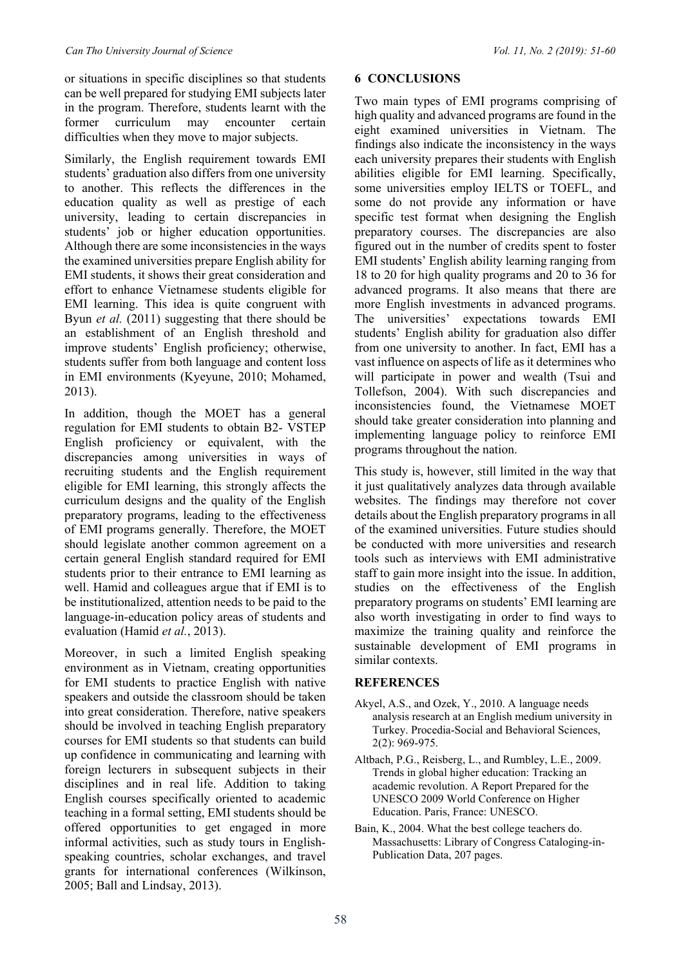or situations in specific disciplines so that students can be well prepared for studying EMI subjects later in the program. Therefore, students learnt with the former curriculum may encounter certain difficulties when they move to major subjects.

Similarly, the English requirement towards EMI students' graduation also differs from one university to another. This reflects the differences in the education quality as well as prestige of each university, leading to certain discrepancies in students' job or higher education opportunities. Although there are some inconsistencies in the ways the examined universities prepare English ability for EMI students, it shows their great consideration and effort to enhance Vietnamese students eligible for EMI learning. This idea is quite congruent with Byun *et al.* (2011) suggesting that there should be an establishment of an English threshold and improve students' English proficiency; otherwise, students suffer from both language and content loss in EMI environments (Kyeyune, 2010; Mohamed, 2013).

In addition, though the MOET has a general regulation for EMI students to obtain B2- VSTEP English proficiency or equivalent, with the discrepancies among universities in ways of recruiting students and the English requirement eligible for EMI learning, this strongly affects the curriculum designs and the quality of the English preparatory programs, leading to the effectiveness of EMI programs generally. Therefore, the MOET should legislate another common agreement on a certain general English standard required for EMI students prior to their entrance to EMI learning as well. Hamid and colleagues argue that if EMI is to be institutionalized, attention needs to be paid to the language-in-education policy areas of students and evaluation (Hamid *et al.*, 2013).

Moreover, in such a limited English speaking environment as in Vietnam, creating opportunities for EMI students to practice English with native speakers and outside the classroom should be taken into great consideration. Therefore, native speakers should be involved in teaching English preparatory courses for EMI students so that students can build up confidence in communicating and learning with foreign lecturers in subsequent subjects in their disciplines and in real life. Addition to taking English courses specifically oriented to academic teaching in a formal setting, EMI students should be offered opportunities to get engaged in more informal activities, such as study tours in Englishspeaking countries, scholar exchanges, and travel grants for international conferences (Wilkinson, 2005; Ball and Lindsay, 2013).

#### **6 CONCLUSIONS**

Two main types of EMI programs comprising of high quality and advanced programs are found in the eight examined universities in Vietnam. The findings also indicate the inconsistency in the ways each university prepares their students with English abilities eligible for EMI learning. Specifically, some universities employ IELTS or TOEFL, and some do not provide any information or have specific test format when designing the English preparatory courses. The discrepancies are also figured out in the number of credits spent to foster EMI students' English ability learning ranging from 18 to 20 for high quality programs and 20 to 36 for advanced programs. It also means that there are more English investments in advanced programs. The universities' expectations towards EMI students' English ability for graduation also differ from one university to another. In fact, EMI has a vast influence on aspects of life as it determines who will participate in power and wealth (Tsui and Tollefson, 2004). With such discrepancies and inconsistencies found, the Vietnamese MOET should take greater consideration into planning and implementing language policy to reinforce EMI programs throughout the nation.

This study is, however, still limited in the way that it just qualitatively analyzes data through available websites. The findings may therefore not cover details about the English preparatory programs in all of the examined universities. Future studies should be conducted with more universities and research tools such as interviews with EMI administrative staff to gain more insight into the issue. In addition, studies on the effectiveness of the English preparatory programs on students' EMI learning are also worth investigating in order to find ways to maximize the training quality and reinforce the sustainable development of EMI programs in similar contexts.

#### **REFERENCES**

- Akyel, A.S., and Ozek, Y., 2010. A language needs analysis research at an English medium university in Turkey. Procedia-Social and Behavioral Sciences, 2(2): 969-975.
- Altbach, P.G., Reisberg, L., and Rumbley, L.E., 2009. Trends in global higher education: Tracking an academic revolution. A Report Prepared for the UNESCO 2009 World Conference on Higher Education. Paris, France: UNESCO.
- Bain, K., 2004. What the best college teachers do. Massachusetts: Library of Congress Cataloging-in-Publication Data, 207 pages.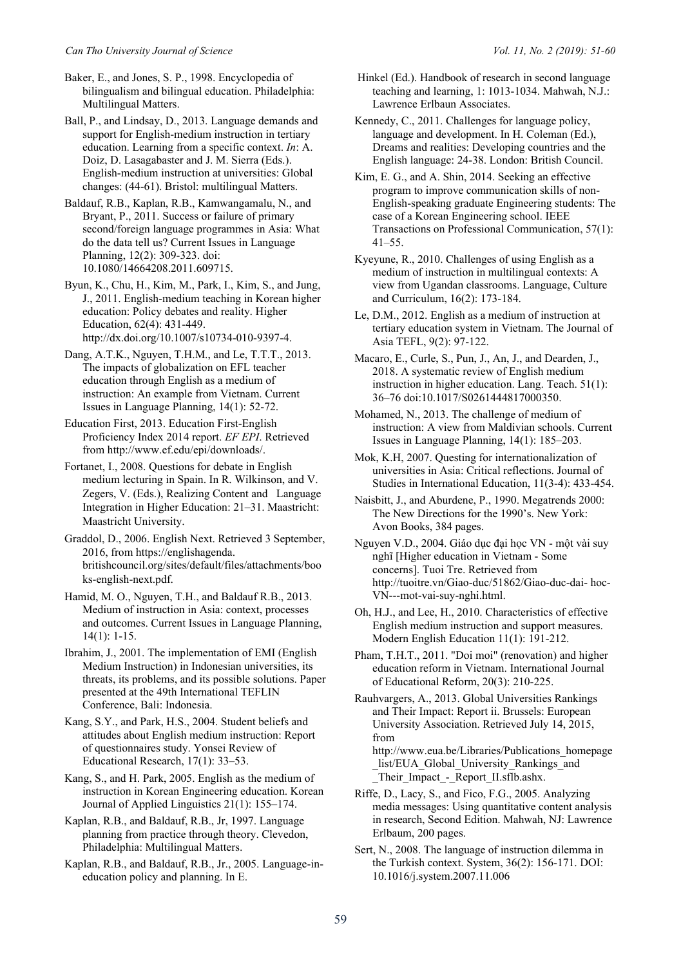Baker, E., and Jones, S. P., 1998. Encyclopedia of bilingualism and bilingual education. Philadelphia: Multilingual Matters.

Ball, P., and Lindsay, D., 2013. Language demands and support for English-medium instruction in tertiary education. Learning from a specific context. *In*: A. Doiz, D. Lasagabaster and J. M. Sierra (Eds.). English-medium instruction at universities: Global changes: (44-61). Bristol: multilingual Matters.

Baldauf, R.B., Kaplan, R.B., Kamwangamalu, N., and Bryant, P., 2011. Success or failure of primary second/foreign language programmes in Asia: What do the data tell us? Current Issues in Language Planning, 12(2): 309-323. doi: 10.1080/14664208.2011.609715.

Byun, K., Chu, H., Kim, M., Park, I., Kim, S., and Jung, J., 2011. English-medium teaching in Korean higher education: Policy debates and reality. Higher Education, 62(4): 431-449. http://dx.doi.org/10.1007/s10734-010-9397-4.

Dang, A.T.K., Nguyen, T.H.M., and Le, T.T.T., 2013. The impacts of globalization on EFL teacher education through English as a medium of instruction: An example from Vietnam. Current Issues in Language Planning, 14(1): 52-72.

Education First, 2013. Education First-English Proficiency Index 2014 report. *EF EPI*. Retrieved from http://www.ef.edu/epi/downloads/.

Fortanet, I., 2008. Questions for debate in English medium lecturing in Spain. In R. Wilkinson, and V. Zegers, V. (Eds.), Realizing Content and Language Integration in Higher Education: 21–31. Maastricht: Maastricht University.

Graddol, D., 2006. English Next. Retrieved 3 September, 2016, from https://englishagenda. britishcouncil.org/sites/default/files/attachments/boo ks-english-next.pdf.

Hamid, M. O., Nguyen, T.H., and Baldauf R.B., 2013. Medium of instruction in Asia: context, processes and outcomes. Current Issues in Language Planning, 14(1): 1-15.

Ibrahim, J., 2001. The implementation of EMI (English Medium Instruction) in Indonesian universities, its threats, its problems, and its possible solutions. Paper presented at the 49th International TEFLIN Conference, Bali: Indonesia.

Kang, S.Y., and Park, H.S., 2004. Student beliefs and attitudes about English medium instruction: Report of questionnaires study. Yonsei Review of Educational Research, 17(1): 33–53.

Kang, S., and H. Park, 2005. English as the medium of instruction in Korean Engineering education. Korean Journal of Applied Linguistics 21(1): 155–174.

Kaplan, R.B., and Baldauf, R.B., Jr, 1997. Language planning from practice through theory. Clevedon, Philadelphia: Multilingual Matters.

Kaplan, R.B., and Baldauf, R.B., Jr., 2005. Language-ineducation policy and planning. In E.

 Hinkel (Ed.). Handbook of research in second language teaching and learning, 1: 1013-1034. Mahwah, N.J.: Lawrence Erlbaun Associates.

Kennedy, C., 2011. Challenges for language policy, language and development. In H. Coleman (Ed.), Dreams and realities: Developing countries and the English language: 24-38. London: British Council.

Kim, E. G., and A. Shin, 2014. Seeking an effective program to improve communication skills of non-English-speaking graduate Engineering students: The case of a Korean Engineering school. IEEE Transactions on Professional Communication, 57(1): 41–55.

Kyeyune, R., 2010. Challenges of using English as a medium of instruction in multilingual contexts: A view from Ugandan classrooms. Language, Culture and Curriculum, 16(2): 173-184.

Le, D.M., 2012. English as a medium of instruction at tertiary education system in Vietnam. The Journal of Asia TEFL, 9(2): 97-122.

Macaro, E., Curle, S., Pun, J., An, J., and Dearden, J., 2018. A systematic review of English medium instruction in higher education. Lang. Teach. 51(1): 36–76 doi:10.1017/S0261444817000350.

Mohamed, N., 2013. The challenge of medium of instruction: A view from Maldivian schools. Current Issues in Language Planning, 14(1): 185–203.

Mok, K.H, 2007. Questing for internationalization of universities in Asia: Critical reflections. Journal of Studies in International Education, 11(3-4): 433-454.

Naisbitt, J., and Aburdene, P., 1990. Megatrends 2000: The New Directions for the 1990's. New York: Avon Books, 384 pages.

Nguyen V.D., 2004. Giáo dục đại học VN - một vài suy nghĩ [Higher education in Vietnam - Some concerns]. Tuoi Tre. Retrieved from http://tuoitre.vn/Giao-duc/51862/Giao-duc-dai- hoc-VN---mot-vai-suy-nghi.html.

Oh, H.J., and Lee, H., 2010. Characteristics of effective English medium instruction and support measures. Modern English Education 11(1): 191-212.

Pham, T.H.T., 2011. "Doi moi" (renovation) and higher education reform in Vietnam. International Journal of Educational Reform, 20(3): 210-225.

Rauhvargers, A., 2013. Global Universities Rankings and Their Impact: Report ii. Brussels: European University Association. Retrieved July 14, 2015, from http://www.eua.be/Libraries/Publications\_homepage list/EUA Global University Rankings and

\_Their\_Impact\_-\_Report\_II.sflb.ashx.

Riffe, D., Lacy, S., and Fico, F.G., 2005. Analyzing media messages: Using quantitative content analysis in research, Second Edition. Mahwah, NJ: Lawrence Erlbaum, 200 pages.

Sert, N., 2008. The language of instruction dilemma in the Turkish context. System, 36(2): 156-171. DOI: 10.1016/j.system.2007.11.006